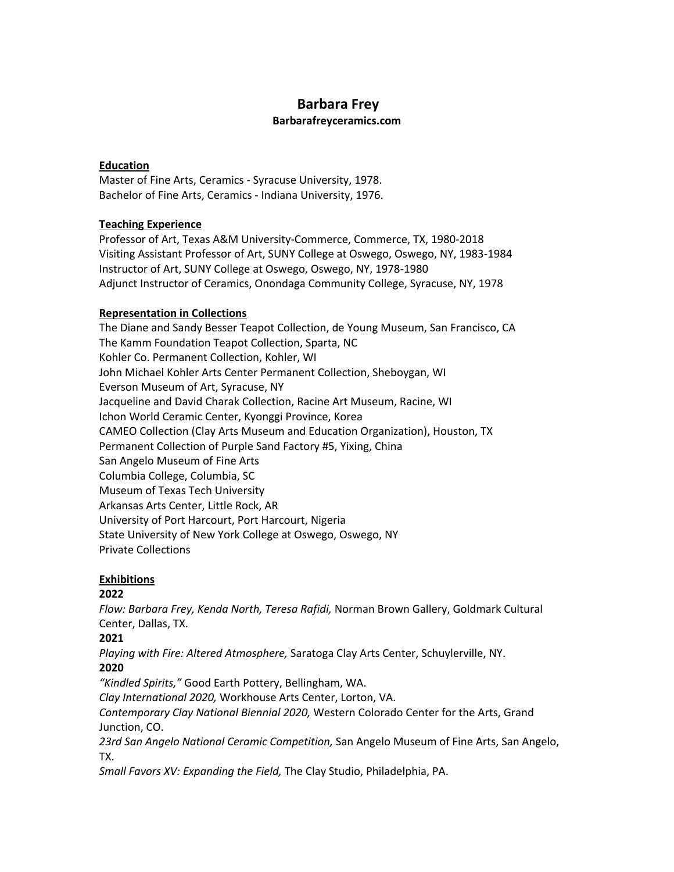# **Barbara Frey**

#### **Barbarafreyceramics.com**

#### **Education**

Master of Fine Arts, Ceramics - Syracuse University, 1978. Bachelor of Fine Arts, Ceramics - Indiana University, 1976.

### **Teaching Experience**

Professor of Art, Texas A&M University-Commerce, Commerce, TX, 1980-2018 Visiting Assistant Professor of Art, SUNY College at Oswego, Oswego, NY, 1983-1984 Instructor of Art, SUNY College at Oswego, Oswego, NY, 1978-1980 Adjunct Instructor of Ceramics, Onondaga Community College, Syracuse, NY, 1978

#### **Representation in Collections**

The Diane and Sandy Besser Teapot Collection, de Young Museum, San Francisco, CA The Kamm Foundation Teapot Collection, Sparta, NC Kohler Co. Permanent Collection, Kohler, WI John Michael Kohler Arts Center Permanent Collection, Sheboygan, WI Everson Museum of Art, Syracuse, NY Jacqueline and David Charak Collection, Racine Art Museum, Racine, WI Ichon World Ceramic Center, Kyonggi Province, Korea CAMEO Collection (Clay Arts Museum and Education Organization), Houston, TX Permanent Collection of Purple Sand Factory #5, Yixing, China San Angelo Museum of Fine Arts Columbia College, Columbia, SC Museum of Texas Tech University Arkansas Arts Center, Little Rock, AR University of Port Harcourt, Port Harcourt, Nigeria State University of New York College at Oswego, Oswego, NY Private Collections

### **Exhibitions**

### **2022**

*Flow: Barbara Frey, Kenda North, Teresa Rafidi,* Norman Brown Gallery, Goldmark Cultural Center, Dallas, TX.

### **2021**

*Playing with Fire: Altered Atmosphere,* Saratoga Clay Arts Center, Schuylerville, NY. **2020**

*"Kindled Spirits,"* Good Earth Pottery, Bellingham, WA.

*Clay International 2020,* Workhouse Arts Center, Lorton, VA.

*Contemporary Clay National Biennial 2020,* Western Colorado Center for the Arts, Grand Junction, CO.

*23rd San Angelo National Ceramic Competition,* San Angelo Museum of Fine Arts, San Angelo, TX.

*Small Favors XV: Expanding the Field,* The Clay Studio, Philadelphia, PA.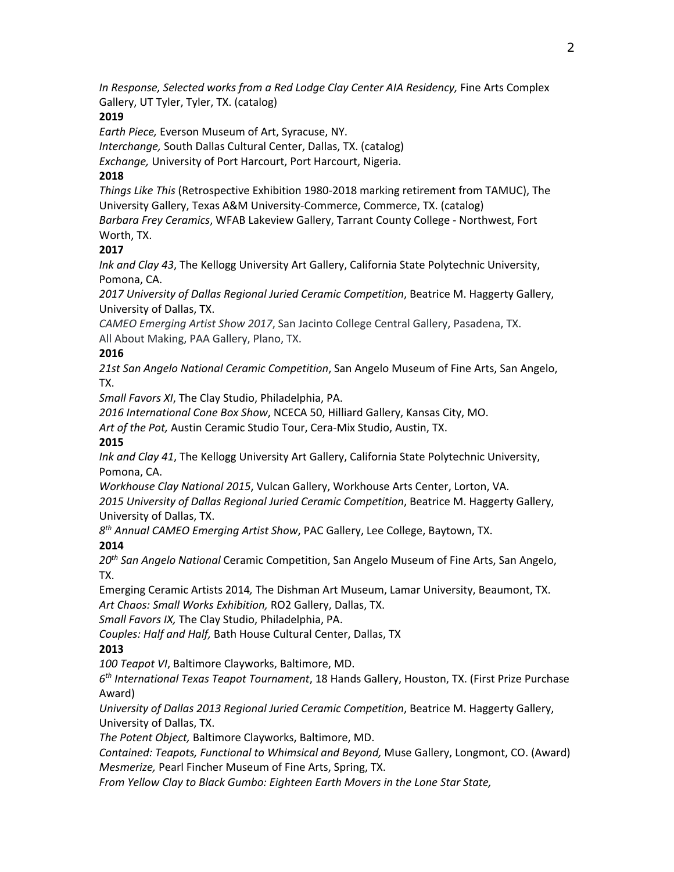*In Response, Selected works from a Red Lodge Clay Center AIA Residency,* Fine Arts Complex Gallery, UT Tyler, Tyler, TX. (catalog)

#### **2019**

*Earth Piece,* Everson Museum of Art, Syracuse, NY.

*Interchange,* South Dallas Cultural Center, Dallas, TX. (catalog)

*Exchange,* University of Port Harcourt, Port Harcourt, Nigeria.

### **2018**

*Things Like This* (Retrospective Exhibition 1980-2018 marking retirement from TAMUC), The University Gallery, Texas A&M University-Commerce, Commerce, TX. (catalog)

*Barbara Frey Ceramics*, WFAB Lakeview Gallery, Tarrant County College - Northwest, Fort Worth, TX.

### **2017**

*Ink and Clay 43*, The Kellogg University Art Gallery, California State Polytechnic University, Pomona, CA.

*2017 University of Dallas Regional Juried Ceramic Competition*, Beatrice M. Haggerty Gallery, University of Dallas, TX.

*CAMEO Emerging Artist Show 2017*, San Jacinto College Central Gallery, Pasadena, TX. All About Making, PAA Gallery, Plano, TX.

### **2016**

*21st San Angelo National Ceramic Competition*, San Angelo Museum of Fine Arts, San Angelo, TX.

*Small Favors XI*, The Clay Studio, Philadelphia, PA.

*2016 International Cone Box Show*, NCECA 50, Hilliard Gallery, Kansas City, MO.

*Art of the Pot,* Austin Ceramic Studio Tour, Cera-Mix Studio, Austin, TX.

### **2015**

*Ink and Clay 41*, The Kellogg University Art Gallery, California State Polytechnic University, Pomona, CA.

*Workhouse Clay National 2015*, Vulcan Gallery, Workhouse Arts Center, Lorton, VA.

*2015 University of Dallas Regional Juried Ceramic Competition*, Beatrice M. Haggerty Gallery, University of Dallas, TX.

*8th Annual CAMEO Emerging Artist Show*, PAC Gallery, Lee College, Baytown, TX.

# **2014**

*20th San Angelo National* Ceramic Competition, San Angelo Museum of Fine Arts, San Angelo, TX.

Emerging Ceramic Artists 2014*,* The Dishman Art Museum, Lamar University, Beaumont, TX. *Art Chaos: Small Works Exhibition,* RO2 Gallery, Dallas, TX.

*Small Favors IX,* The Clay Studio, Philadelphia, PA.

*Couples: Half and Half,* Bath House Cultural Center, Dallas, TX

# **2013**

*100 Teapot VI*, Baltimore Clayworks, Baltimore, MD.

*6th International Texas Teapot Tournament*, 18 Hands Gallery, Houston, TX. (First Prize Purchase Award)

*University of Dallas 2013 Regional Juried Ceramic Competition*, Beatrice M. Haggerty Gallery, University of Dallas, TX.

*The Potent Object,* Baltimore Clayworks, Baltimore, MD.

*Contained: Teapots, Functional to Whimsical and Beyond,* Muse Gallery, Longmont, CO. (Award) *Mesmerize,* Pearl Fincher Museum of Fine Arts, Spring, TX.

*From Yellow Clay to Black Gumbo: Eighteen Earth Movers in the Lone Star State,*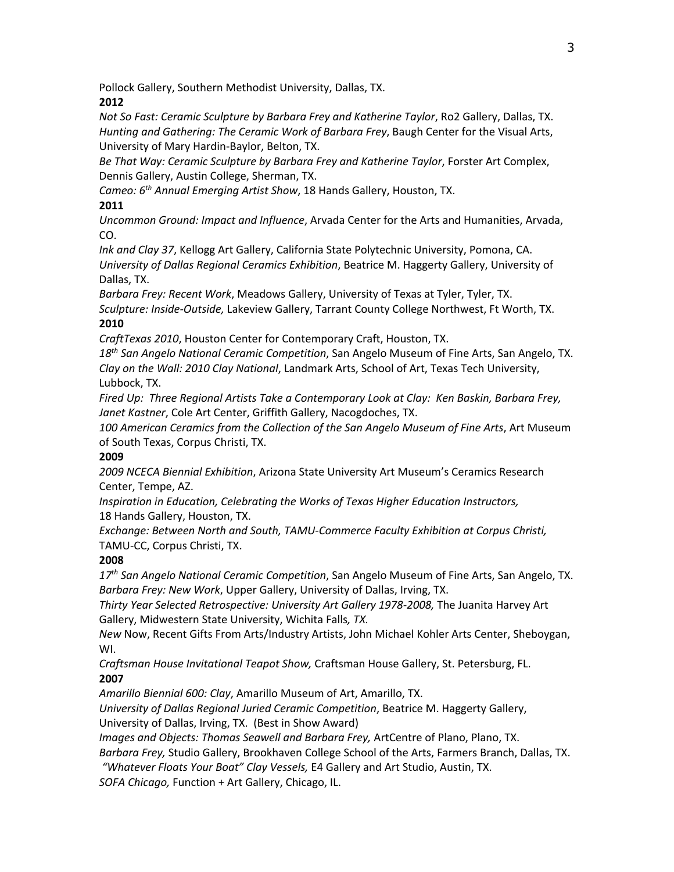Pollock Gallery, Southern Methodist University, Dallas, TX.

# **2012**

*Not So Fast: Ceramic Sculpture by Barbara Frey and Katherine Taylor*, Ro2 Gallery, Dallas, TX. *Hunting and Gathering: The Ceramic Work of Barbara Frey*, Baugh Center for the Visual Arts, University of Mary Hardin-Baylor, Belton, TX.

*Be That Way: Ceramic Sculpture by Barbara Frey and Katherine Taylor*, Forster Art Complex, Dennis Gallery, Austin College, Sherman, TX.

*Cameo: 6th Annual Emerging Artist Show*, 18 Hands Gallery, Houston, TX.

# **2011**

*Uncommon Ground: Impact and Influence*, Arvada Center for the Arts and Humanities, Arvada, CO.

*Ink and Clay 37*, Kellogg Art Gallery, California State Polytechnic University, Pomona, CA. *University of Dallas Regional Ceramics Exhibition*, Beatrice M. Haggerty Gallery, University of Dallas, TX.

*Barbara Frey: Recent Work*, Meadows Gallery, University of Texas at Tyler, Tyler, TX. *Sculpture: Inside-Outside,* Lakeview Gallery, Tarrant County College Northwest, Ft Worth, TX. **2010**

*CraftTexas 2010*, Houston Center for Contemporary Craft, Houston, TX.

*18th San Angelo National Ceramic Competition*, San Angelo Museum of Fine Arts, San Angelo, TX. *Clay on the Wall: 2010 Clay National*, Landmark Arts, School of Art, Texas Tech University, Lubbock, TX.

*Fired Up: Three Regional Artists Take a Contemporary Look at Clay: Ken Baskin, Barbara Frey, Janet Kastner*, Cole Art Center, Griffith Gallery, Nacogdoches, TX.

*100 American Ceramics from the Collection of the San Angelo Museum of Fine Arts*, Art Museum of South Texas, Corpus Christi, TX.

# **2009**

*2009 NCECA Biennial Exhibition*, Arizona State University Art Museum's Ceramics Research Center, Tempe, AZ.

*Inspiration in Education, Celebrating the Works of Texas Higher Education Instructors,*  18 Hands Gallery, Houston, TX.

*Exchange: Between North and South, TAMU-Commerce Faculty Exhibition at Corpus Christi,* TAMU-CC, Corpus Christi, TX.

# **2008**

*17th San Angelo National Ceramic Competition*, San Angelo Museum of Fine Arts, San Angelo, TX. *Barbara Frey: New Work*, Upper Gallery, University of Dallas, Irving, TX.

*Thirty Year Selected Retrospective: University Art Gallery 1978-2008,* The Juanita Harvey Art Gallery, Midwestern State University, Wichita Falls*, TX.* 

*New* Now, Recent Gifts From Arts/Industry Artists, John Michael Kohler Arts Center, Sheboygan, WI.

*Craftsman House Invitational Teapot Show,* Craftsman House Gallery, St. Petersburg, FL. **2007**

*Amarillo Biennial 600: Clay*, Amarillo Museum of Art, Amarillo, TX.

*University of Dallas Regional Juried Ceramic Competition*, Beatrice M. Haggerty Gallery, University of Dallas, Irving, TX. (Best in Show Award)

*Images and Objects: Thomas Seawell and Barbara Frey,* ArtCentre of Plano, Plano, TX.

*Barbara Frey,* Studio Gallery, Brookhaven College School of the Arts, Farmers Branch, Dallas, TX.

*"Whatever Floats Your Boat" Clay Vessels,* E4 Gallery and Art Studio, Austin, TX.

*SOFA Chicago,* Function + Art Gallery, Chicago, IL.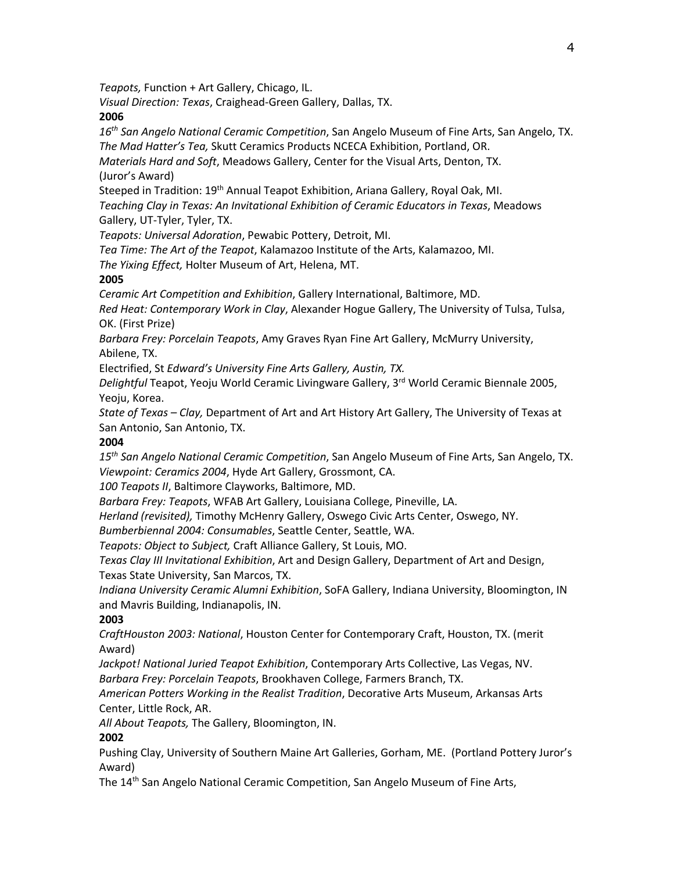*Teapots,* Function + Art Gallery, Chicago, IL.

*Visual Direction: Texas*, Craighead-Green Gallery, Dallas, TX.

### **2006**

*16th San Angelo National Ceramic Competition*, San Angelo Museum of Fine Arts, San Angelo, TX. *The Mad Hatter's Tea,* Skutt Ceramics Products NCECA Exhibition, Portland, OR.

*Materials Hard and Soft*, Meadows Gallery, Center for the Visual Arts, Denton, TX. (Juror's Award)

Steeped in Tradition: 19<sup>th</sup> Annual Teapot Exhibition, Ariana Gallery, Royal Oak, MI.

*Teaching Clay in Texas: An Invitational Exhibition of Ceramic Educators in Texas*, Meadows Gallery, UT-Tyler, Tyler, TX.

*Teapots: Universal Adoration*, Pewabic Pottery, Detroit, MI.

*Tea Time: The Art of the Teapot*, Kalamazoo Institute of the Arts, Kalamazoo, MI.

*The Yixing Effect,* Holter Museum of Art, Helena, MT.

### **2005**

*Ceramic Art Competition and Exhibition*, Gallery International, Baltimore, MD.

*Red Heat: Contemporary Work in Clay*, Alexander Hogue Gallery, The University of Tulsa, Tulsa, OK. (First Prize)

*Barbara Frey: Porcelain Teapots*, Amy Graves Ryan Fine Art Gallery, McMurry University, Abilene, TX.

Electrified, St *Edward's University Fine Arts Gallery, Austin, TX.* 

*Delightful* Teapot, Yeoju World Ceramic Livingware Gallery, 3rd World Ceramic Biennale 2005, Yeoju, Korea.

*State of Texas – Clay,* Department of Art and Art History Art Gallery, The University of Texas at San Antonio, San Antonio, TX.

### **2004**

*15th San Angelo National Ceramic Competition*, San Angelo Museum of Fine Arts, San Angelo, TX. *Viewpoint: Ceramics 2004*, Hyde Art Gallery, Grossmont, CA.

*100 Teapots II*, Baltimore Clayworks, Baltimore, MD.

*Barbara Frey: Teapots*, WFAB Art Gallery, Louisiana College, Pineville, LA.

*Herland (revisited),* Timothy McHenry Gallery, Oswego Civic Arts Center, Oswego, NY.

*Bumberbiennal 2004: Consumables*, Seattle Center, Seattle, WA.

*Teapots: Object to Subject,* Craft Alliance Gallery, St Louis, MO.

*Texas Clay III Invitational Exhibition*, Art and Design Gallery, Department of Art and Design, Texas State University, San Marcos, TX.

*Indiana University Ceramic Alumni Exhibition*, SoFA Gallery, Indiana University, Bloomington, IN and Mavris Building, Indianapolis, IN.

# **2003**

*CraftHouston 2003: National*, Houston Center for Contemporary Craft, Houston, TX. (merit Award)

*Jackpot! National Juried Teapot Exhibition*, Contemporary Arts Collective, Las Vegas, NV. *Barbara Frey: Porcelain Teapots*, Brookhaven College, Farmers Branch, TX.

*American Potters Working in the Realist Tradition*, Decorative Arts Museum, Arkansas Arts Center, Little Rock, AR.

*All About Teapots,* The Gallery, Bloomington, IN.

# **2002**

Pushing Clay, University of Southern Maine Art Galleries, Gorham, ME. (Portland Pottery Juror's Award)

The 14<sup>th</sup> San Angelo National Ceramic Competition, San Angelo Museum of Fine Arts,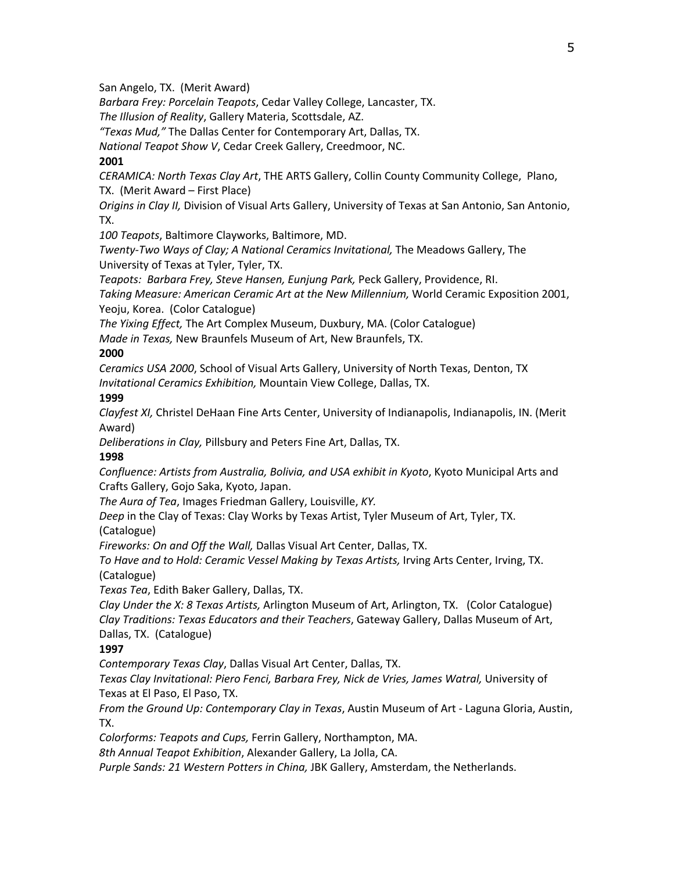San Angelo, TX. (Merit Award)

*Barbara Frey: Porcelain Teapots*, Cedar Valley College, Lancaster, TX.

*The Illusion of Reality*, Gallery Materia, Scottsdale, AZ.

*"Texas Mud,"* The Dallas Center for Contemporary Art, Dallas, TX.

*National Teapot Show V*, Cedar Creek Gallery, Creedmoor, NC.

#### **2001**

*CERAMICA: North Texas Clay Art*, THE ARTS Gallery, Collin County Community College, Plano, TX. (Merit Award – First Place)

*Origins in Clay II,* Division of Visual Arts Gallery, University of Texas at San Antonio, San Antonio, TX.

*100 Teapots*, Baltimore Clayworks, Baltimore, MD.

*Twenty-Two Ways of Clay; A National Ceramics Invitational,* The Meadows Gallery, The University of Texas at Tyler, Tyler, TX.

*Teapots: Barbara Frey, Steve Hansen, Eunjung Park,* Peck Gallery, Providence, RI.

*Taking Measure: American Ceramic Art at the New Millennium,* World Ceramic Exposition 2001, Yeoju, Korea. (Color Catalogue)

*The Yixing Effect,* The Art Complex Museum, Duxbury, MA. (Color Catalogue)

*Made in Texas,* New Braunfels Museum of Art, New Braunfels, TX.

### **2000**

*Ceramics USA 2000*, School of Visual Arts Gallery, University of North Texas, Denton, TX *Invitational Ceramics Exhibition,* Mountain View College, Dallas, TX.

#### **1999**

*Clayfest XI,* Christel DeHaan Fine Arts Center, University of Indianapolis, Indianapolis, IN. (Merit Award)

*Deliberations in Clay,* Pillsbury and Peters Fine Art, Dallas, TX.

#### **1998**

*Confluence: Artists from Australia, Bolivia, and USA exhibit in Kyoto*, Kyoto Municipal Arts and Crafts Gallery, Gojo Saka, Kyoto, Japan.

*The Aura of Tea*, Images Friedman Gallery, Louisville, *KY.* 

*Deep* in the Clay of Texas: Clay Works by Texas Artist, Tyler Museum of Art, Tyler, TX.

(Catalogue)

*Fireworks: On and Off the Wall,* Dallas Visual Art Center, Dallas, TX.

*To Have and to Hold: Ceramic Vessel Making by Texas Artists,* Irving Arts Center, Irving, TX. (Catalogue)

*Texas Tea*, Edith Baker Gallery, Dallas, TX.

*Clay Under the X: 8 Texas Artists,* Arlington Museum of Art, Arlington, TX. (Color Catalogue) *Clay Traditions: Texas Educators and their Teachers*, Gateway Gallery, Dallas Museum of Art, Dallas, TX. (Catalogue)

### **1997**

*Contemporary Texas Clay*, Dallas Visual Art Center, Dallas, TX.

Texas Clay Invitational: Piero Fenci, Barbara Frey, Nick de Vries, James Watral, University of Texas at El Paso, El Paso, TX.

*From the Ground Up: Contemporary Clay in Texas*, Austin Museum of Art - Laguna Gloria, Austin, TX.

*Colorforms: Teapots and Cups,* Ferrin Gallery, Northampton, MA.

*8th Annual Teapot Exhibition*, Alexander Gallery, La Jolla, CA.

*Purple Sands: 21 Western Potters in China,* JBK Gallery, Amsterdam, the Netherlands.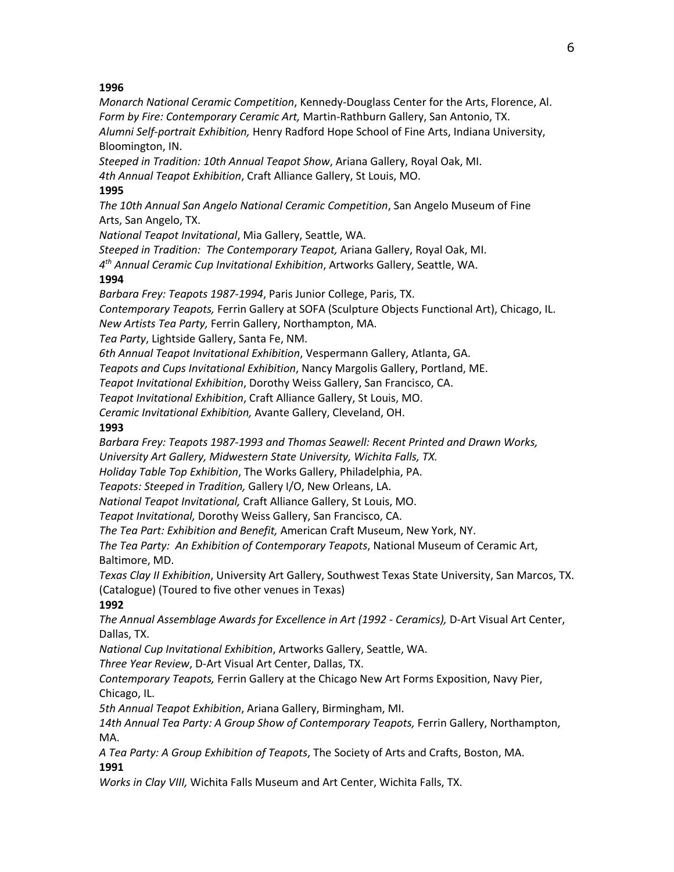#### **1996**

*Monarch National Ceramic Competition*, Kennedy-Douglass Center for the Arts, Florence, Al. *Form by Fire: Contemporary Ceramic Art,* Martin-Rathburn Gallery, San Antonio, TX. *Alumni Self-portrait Exhibition,* Henry Radford Hope School of Fine Arts, Indiana University, Bloomington, IN.

*Steeped in Tradition: 10th Annual Teapot Show*, Ariana Gallery, Royal Oak, MI. *4th Annual Teapot Exhibition*, Craft Alliance Gallery, St Louis, MO.

#### **1995**

*The 10th Annual San Angelo National Ceramic Competition*, San Angelo Museum of Fine Arts, San Angelo, TX.

*National Teapot Invitational*, Mia Gallery, Seattle, WA.

*Steeped in Tradition: The Contemporary Teapot,* Ariana Gallery, Royal Oak, MI.

*4th Annual Ceramic Cup Invitational Exhibition*, Artworks Gallery, Seattle, WA.

#### **1994**

*Barbara Frey: Teapots 1987-1994*, Paris Junior College, Paris, TX.

*Contemporary Teapots,* Ferrin Gallery at SOFA (Sculpture Objects Functional Art), Chicago, IL.

*New Artists Tea Party,* Ferrin Gallery, Northampton, MA.

*Tea Party*, Lightside Gallery, Santa Fe, NM.

*6th Annual Teapot Invitational Exhibition*, Vespermann Gallery, Atlanta, GA.

*Teapots and Cups Invitational Exhibition*, Nancy Margolis Gallery, Portland, ME.

*Teapot Invitational Exhibition*, Dorothy Weiss Gallery, San Francisco, CA.

*Teapot Invitational Exhibition*, Craft Alliance Gallery, St Louis, MO.

*Ceramic Invitational Exhibition,* Avante Gallery, Cleveland, OH.

#### **1993**

*Barbara Frey: Teapots 1987-1993 and Thomas Seawell: Recent Printed and Drawn Works, University Art Gallery, Midwestern State University, Wichita Falls, TX.*

*Holiday Table Top Exhibition*, The Works Gallery, Philadelphia, PA.

*Teapots: Steeped in Tradition,* Gallery I/O, New Orleans, LA.

*National Teapot Invitational,* Craft Alliance Gallery, St Louis, MO.

*Teapot Invitational,* Dorothy Weiss Gallery, San Francisco, CA.

*The Tea Part: Exhibition and Benefit,* American Craft Museum, New York, NY.

*The Tea Party: An Exhibition of Contemporary Teapots*, National Museum of Ceramic Art, Baltimore, MD.

*Texas Clay II Exhibition*, University Art Gallery, Southwest Texas State University, San Marcos, TX. (Catalogue) (Toured to five other venues in Texas)

### **1992**

*The Annual Assemblage Awards for Excellence in Art (1992 - Ceramics),* D-Art Visual Art Center, Dallas, TX.

*National Cup Invitational Exhibition*, Artworks Gallery, Seattle, WA.

*Three Year Review*, D-Art Visual Art Center, Dallas, TX.

*Contemporary Teapots,* Ferrin Gallery at the Chicago New Art Forms Exposition, Navy Pier, Chicago, IL.

*5th Annual Teapot Exhibition*, Ariana Gallery, Birmingham, MI.

*14th Annual Tea Party: A Group Show of Contemporary Teapots,* Ferrin Gallery, Northampton, MA.

*A Tea Party: A Group Exhibition of Teapots*, The Society of Arts and Crafts, Boston, MA. **1991**

*Works in Clay VIII,* Wichita Falls Museum and Art Center, Wichita Falls, TX.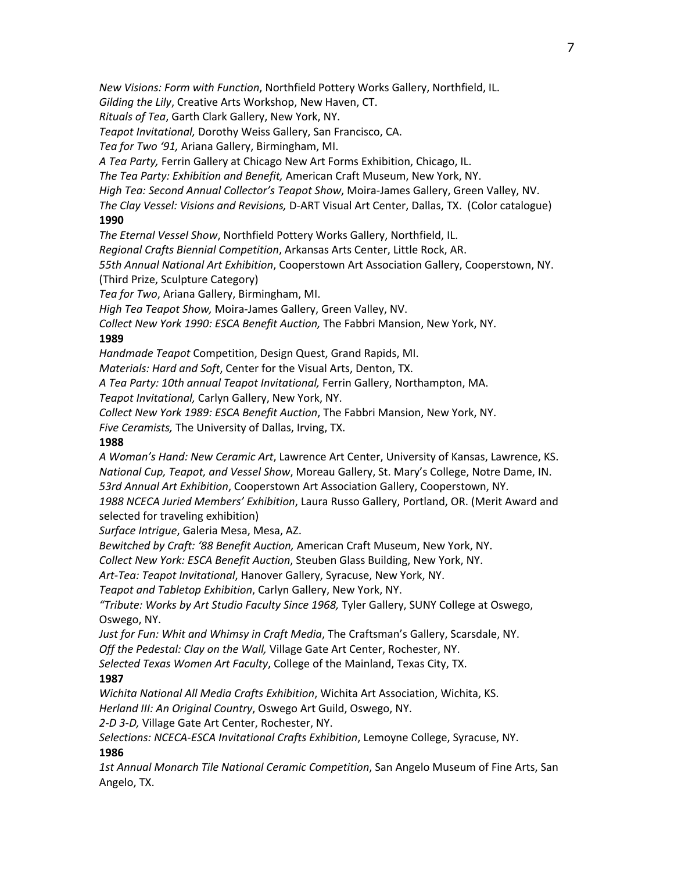*New Visions: Form with Function*, Northfield Pottery Works Gallery, Northfield, IL.

*Gilding the Lily*, Creative Arts Workshop, New Haven, CT.

*Rituals of Tea*, Garth Clark Gallery, New York, NY.

*Teapot Invitational,* Dorothy Weiss Gallery, San Francisco, CA.

*Tea for Two '91,* Ariana Gallery, Birmingham, MI.

*A Tea Party,* Ferrin Gallery at Chicago New Art Forms Exhibition, Chicago, IL.

*The Tea Party: Exhibition and Benefit,* American Craft Museum, New York, NY.

*High Tea: Second Annual Collector's Teapot Show*, Moira-James Gallery, Green Valley, NV.

*The Clay Vessel: Visions and Revisions,* D-ART Visual Art Center, Dallas, TX. (Color catalogue) **1990**

*The Eternal Vessel Show*, Northfield Pottery Works Gallery, Northfield, IL.

*Regional Crafts Biennial Competition*, Arkansas Arts Center, Little Rock, AR.

*55th Annual National Art Exhibition*, Cooperstown Art Association Gallery, Cooperstown, NY.

(Third Prize, Sculpture Category)

*Tea for Two*, Ariana Gallery, Birmingham, MI.

*High Tea Teapot Show,* Moira-James Gallery, Green Valley, NV.

*Collect New York 1990: ESCA Benefit Auction,* The Fabbri Mansion, New York, NY.

### **1989**

*Handmade Teapot* Competition, Design Quest, Grand Rapids, MI.

*Materials: Hard and Soft*, Center for the Visual Arts, Denton, TX.

*A Tea Party: 10th annual Teapot Invitational,* Ferrin Gallery, Northampton, MA.

*Teapot Invitational,* Carlyn Gallery, New York, NY.

*Collect New York 1989: ESCA Benefit Auction*, The Fabbri Mansion, New York, NY.

*Five Ceramists,* The University of Dallas, Irving, TX.

#### **1988**

*A Woman's Hand: New Ceramic Art*, Lawrence Art Center, University of Kansas, Lawrence, KS. *National Cup, Teapot, and Vessel Show*, Moreau Gallery, St. Mary's College, Notre Dame, IN. *53rd Annual Art Exhibition*, Cooperstown Art Association Gallery, Cooperstown, NY. *1988 NCECA Juried Members' Exhibition*, Laura Russo Gallery, Portland, OR. (Merit Award and selected for traveling exhibition)

*Surface Intrigue*, Galeria Mesa, Mesa, AZ.

*Bewitched by Craft: '88 Benefit Auction,* American Craft Museum, New York, NY.

*Collect New York: ESCA Benefit Auction*, Steuben Glass Building, New York, NY.

*Art-Tea: Teapot Invitational*, Hanover Gallery, Syracuse, New York, NY.

*Teapot and Tabletop Exhibition*, Carlyn Gallery, New York, NY.

*"Tribute: Works by Art Studio Faculty Since 1968,* Tyler Gallery, SUNY College at Oswego, Oswego, NY.

*Just for Fun: Whit and Whimsy in Craft Media*, The Craftsman's Gallery, Scarsdale, NY. *Off the Pedestal: Clay on the Wall,* Village Gate Art Center, Rochester, NY.

*Selected Texas Women Art Faculty*, College of the Mainland, Texas City, TX.

### **1987**

*Wichita National All Media Crafts Exhibition*, Wichita Art Association, Wichita, KS.

*Herland III: An Original Country*, Oswego Art Guild, Oswego, NY.

*2-D 3-D,* Village Gate Art Center, Rochester, NY.

*Selections: NCECA-ESCA Invitational Crafts Exhibition*, Lemoyne College, Syracuse, NY.

### **1986**

*1st Annual Monarch Tile National Ceramic Competition*, San Angelo Museum of Fine Arts, San Angelo, TX.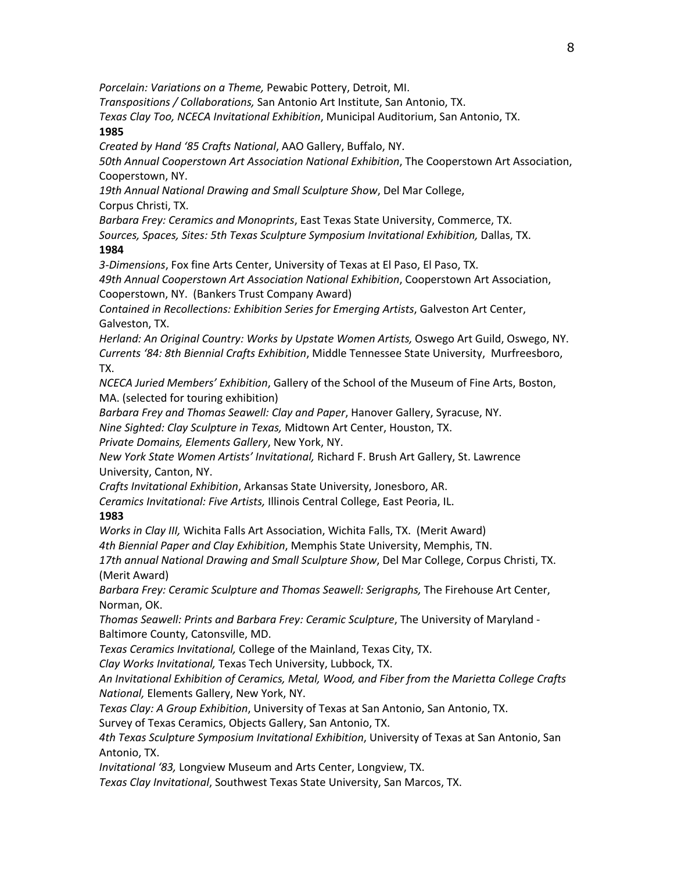*Porcelain: Variations on a Theme,* Pewabic Pottery, Detroit, MI.

*Transpositions / Collaborations,* San Antonio Art Institute, San Antonio, TX.

*Texas Clay Too, NCECA Invitational Exhibition*, Municipal Auditorium, San Antonio, TX. **1985**

*Created by Hand '85 Crafts National*, AAO Gallery, Buffalo, NY.

*50th Annual Cooperstown Art Association National Exhibition*, The Cooperstown Art Association, Cooperstown, NY.

*19th Annual National Drawing and Small Sculpture Show*, Del Mar College,

Corpus Christi, TX.

*Barbara Frey: Ceramics and Monoprints*, East Texas State University, Commerce, TX.

*Sources, Spaces, Sites: 5th Texas Sculpture Symposium Invitational Exhibition,* Dallas, TX. **1984**

*3-Dimensions*, Fox fine Arts Center, University of Texas at El Paso, El Paso, TX.

*49th Annual Cooperstown Art Association National Exhibition*, Cooperstown Art Association, Cooperstown, NY. (Bankers Trust Company Award)

*Contained in Recollections: Exhibition Series for Emerging Artists*, Galveston Art Center, Galveston, TX.

*Herland: An Original Country: Works by Upstate Women Artists,* Oswego Art Guild, Oswego, NY. *Currents '84: 8th Biennial Crafts Exhibition*, Middle Tennessee State University, Murfreesboro, TX.

*NCECA Juried Members' Exhibition*, Gallery of the School of the Museum of Fine Arts, Boston, MA. (selected for touring exhibition)

*Barbara Frey and Thomas Seawell: Clay and Paper*, Hanover Gallery, Syracuse, NY.

*Nine Sighted: Clay Sculpture in Texas,* Midtown Art Center, Houston, TX.

*Private Domains, Elements Gallery*, New York, NY.

*New York State Women Artists' Invitational,* Richard F. Brush Art Gallery, St. Lawrence University, Canton, NY.

*Crafts Invitational Exhibition*, Arkansas State University, Jonesboro, AR.

*Ceramics Invitational: Five Artists,* Illinois Central College, East Peoria, IL.

#### **1983**

*Works in Clay III,* Wichita Falls Art Association, Wichita Falls, TX. (Merit Award)

*4th Biennial Paper and Clay Exhibition*, Memphis State University, Memphis, TN.

*17th annual National Drawing and Small Sculpture Show*, Del Mar College, Corpus Christi, TX. (Merit Award)

*Barbara Frey: Ceramic Sculpture and Thomas Seawell: Serigraphs,* The Firehouse Art Center, Norman, OK.

*Thomas Seawell: Prints and Barbara Frey: Ceramic Sculpture*, The University of Maryland - Baltimore County, Catonsville, MD.

*Texas Ceramics Invitational,* College of the Mainland, Texas City, TX.

*Clay Works Invitational,* Texas Tech University, Lubbock, TX.

*An Invitational Exhibition of Ceramics, Metal, Wood, and Fiber from the Marietta College Crafts National,* Elements Gallery, New York, NY.

*Texas Clay: A Group Exhibition*, University of Texas at San Antonio, San Antonio, TX.

Survey of Texas Ceramics, Objects Gallery, San Antonio, TX.

*4th Texas Sculpture Symposium Invitational Exhibition*, University of Texas at San Antonio, San Antonio, TX.

*Invitational '83,* Longview Museum and Arts Center, Longview, TX.

*Texas Clay Invitational*, Southwest Texas State University, San Marcos, TX.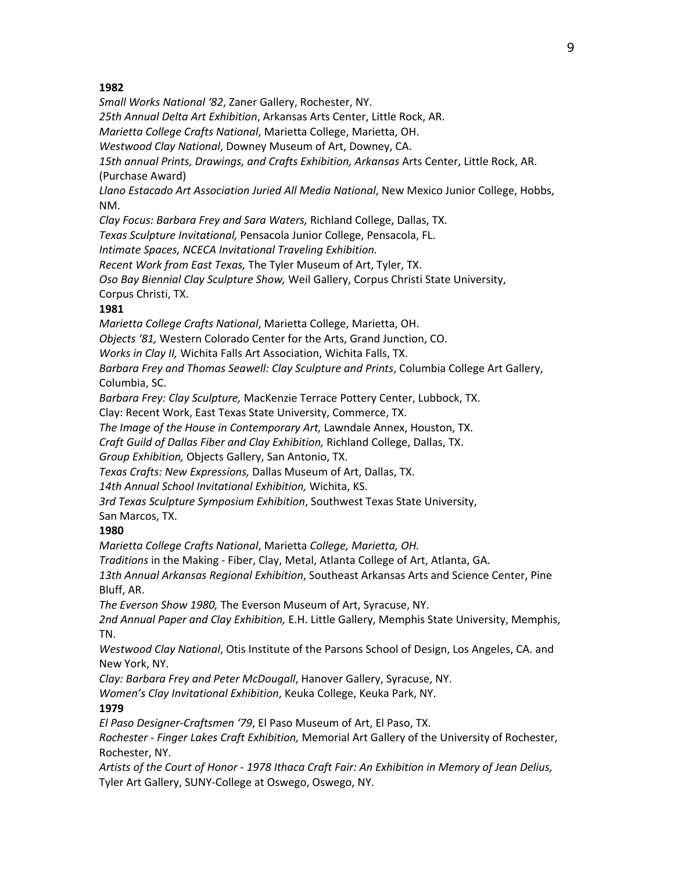#### **1982**

*Small Works National '82*, Zaner Gallery, Rochester, NY. *25th Annual Delta Art Exhibition*, Arkansas Arts Center, Little Rock, AR.

*Marietta College Crafts National*, Marietta College, Marietta, OH.

*Westwood Clay National*, Downey Museum of Art, Downey, CA.

*15th annual Prints, Drawings, and Crafts Exhibition, Arkansas* Arts Center, Little Rock, AR. (Purchase Award)

*Llano Estacado Art Association Juried All Media National*, New Mexico Junior College, Hobbs, NM.

*Clay Focus: Barbara Frey and Sara Waters,* Richland College, Dallas, TX.

*Texas Sculpture Invitational,* Pensacola Junior College, Pensacola, FL.

*Intimate Spaces, NCECA Invitational Traveling Exhibition.*

*Recent Work from East Texas,* The Tyler Museum of Art, Tyler, TX.

*Oso Bay Biennial Clay Sculpture Show,* Weil Gallery, Corpus Christi State University,

Corpus Christi, TX.

### **1981**

*Marietta College Crafts National*, Marietta College, Marietta, OH.

*Objects '81,* Western Colorado Center for the Arts, Grand Junction, CO.

*Works in Clay II,* Wichita Falls Art Association, Wichita Falls, TX.

*Barbara Frey and Thomas Seawell: Clay Sculpture and Prints*, Columbia College Art Gallery, Columbia, SC.

*Barbara Frey: Clay Sculpture,* MacKenzie Terrace Pottery Center, Lubbock, TX.

Clay: Recent Work, East Texas State University, Commerce, TX.

*The Image of the House in Contemporary Art,* Lawndale Annex, Houston, TX.

*Craft Guild of Dallas Fiber and Clay Exhibition,* Richland College, Dallas, TX.

*Group Exhibition,* Objects Gallery, San Antonio, TX.

*Texas Crafts: New Expressions,* Dallas Museum of Art, Dallas, TX.

*14th Annual School Invitational Exhibition,* Wichita, KS.

*3rd Texas Sculpture Symposium Exhibition*, Southwest Texas State University,

San Marcos, TX.

### **1980**

*Marietta College Crafts National*, Marietta *College, Marietta, OH.*

*Traditions* in the Making - Fiber, Clay, Metal, Atlanta College of Art, Atlanta, GA.

*13th Annual Arkansas Regional Exhibition*, Southeast Arkansas Arts and Science Center, Pine Bluff, AR.

*The Everson Show 1980,* The Everson Museum of Art, Syracuse, NY.

*2nd Annual Paper and Clay Exhibition,* E.H. Little Gallery, Memphis State University, Memphis, TN.

*Westwood Clay National*, Otis Institute of the Parsons School of Design, Los Angeles, CA. and New York, NY.

*Clay: Barbara Frey and Peter McDougall*, Hanover Gallery, Syracuse, NY.

*Women's Clay Invitational Exhibition*, Keuka College, Keuka Park, NY.

### **1979**

*El Paso Designer-Craftsmen '79*, El Paso Museum of Art, El Paso, TX. *Rochester - Finger Lakes Craft Exhibition,* Memorial Art Gallery of the University of Rochester, Rochester, NY.

*Artists of the Court of Honor - 1978 Ithaca Craft Fair: An Exhibition in Memory of Jean Delius,* Tyler Art Gallery, SUNY-College at Oswego, Oswego, NY.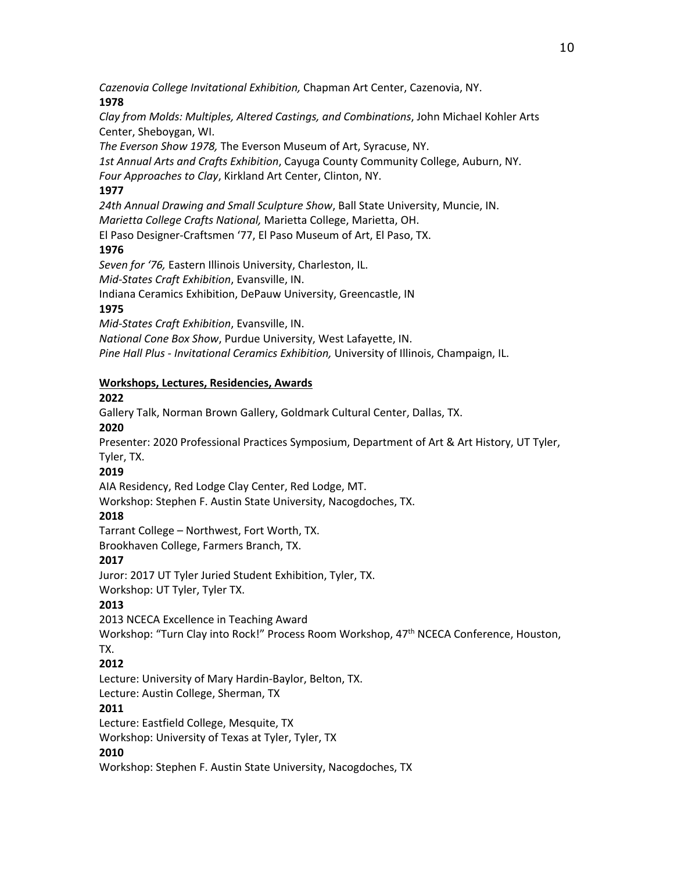*Cazenovia College Invitational Exhibition,* Chapman Art Center, Cazenovia, NY. **1978**

*Clay from Molds: Multiples, Altered Castings, and Combinations*, John Michael Kohler Arts Center, Sheboygan, WI.

*The Everson Show 1978,* The Everson Museum of Art, Syracuse, NY.

*1st Annual Arts and Crafts Exhibition*, Cayuga County Community College, Auburn, NY. *Four Approaches to Clay*, Kirkland Art Center, Clinton, NY.

### **1977**

*24th Annual Drawing and Small Sculpture Show*, Ball State University, Muncie, IN. *Marietta College Crafts National,* Marietta College, Marietta, OH.

El Paso Designer-Craftsmen '77, El Paso Museum of Art, El Paso, TX.

### **1976**

*Seven for '76,* Eastern Illinois University, Charleston, IL.

*Mid-States Craft Exhibition*, Evansville, IN.

Indiana Ceramics Exhibition, DePauw University, Greencastle, IN

### **1975**

*Mid-States Craft Exhibition*, Evansville, IN.

*National Cone Box Show*, Purdue University, West Lafayette, IN.

*Pine Hall Plus - Invitational Ceramics Exhibition,* University of Illinois, Champaign, IL.

### **Workshops, Lectures, Residencies, Awards**

### **2022**

Gallery Talk, Norman Brown Gallery, Goldmark Cultural Center, Dallas, TX.

#### **2020**

Presenter: 2020 Professional Practices Symposium, Department of Art & Art History, UT Tyler, Tyler, TX.

### **2019**

AIA Residency, Red Lodge Clay Center, Red Lodge, MT.

Workshop: Stephen F. Austin State University, Nacogdoches, TX.

### **2018**

Tarrant College – Northwest, Fort Worth, TX.

Brookhaven College, Farmers Branch, TX.

### **2017**

Juror: 2017 UT Tyler Juried Student Exhibition, Tyler, TX.

Workshop: UT Tyler, Tyler TX.

### **2013**

2013 NCECA Excellence in Teaching Award

Workshop: "Turn Clay into Rock!" Process Room Workshop, 47<sup>th</sup> NCECA Conference, Houston, TX.

# **2012**

Lecture: University of Mary Hardin-Baylor, Belton, TX. Lecture: Austin College, Sherman, TX

# **2011**

Lecture: Eastfield College, Mesquite, TX

Workshop: University of Texas at Tyler, Tyler, TX

### **2010**

Workshop: Stephen F. Austin State University, Nacogdoches, TX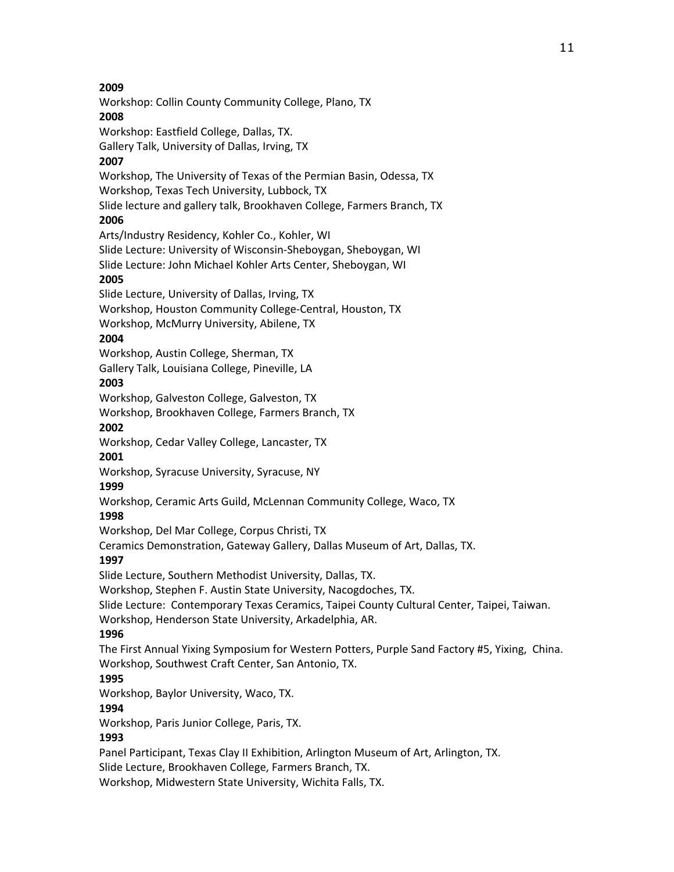11

**2009** Workshop: Collin County Community College, Plano, TX **2008** Workshop: Eastfield College, Dallas, TX. Gallery Talk, University of Dallas, Irving, TX **2007** Workshop, The University of Texas of the Permian Basin, Odessa, TX Workshop, Texas Tech University, Lubbock, TX Slide lecture and gallery talk, Brookhaven College, Farmers Branch, TX **2006** Arts/Industry Residency, Kohler Co., Kohler, WI Slide Lecture: University of Wisconsin-Sheboygan, Sheboygan, WI Slide Lecture: John Michael Kohler Arts Center, Sheboygan, WI **2005** Slide Lecture, University of Dallas, Irving, TX Workshop, Houston Community College-Central, Houston, TX Workshop, McMurry University, Abilene, TX **2004** Workshop, Austin College, Sherman, TX Gallery Talk, Louisiana College, Pineville, LA **2003** Workshop, Galveston College, Galveston, TX Workshop, Brookhaven College, Farmers Branch, TX **2002** Workshop, Cedar Valley College, Lancaster, TX **2001** Workshop, Syracuse University, Syracuse, NY **1999** Workshop, Ceramic Arts Guild, McLennan Community College, Waco, TX **1998** Workshop, Del Mar College, Corpus Christi, TX Ceramics Demonstration, Gateway Gallery, Dallas Museum of Art, Dallas, TX. **1997** Slide Lecture, Southern Methodist University, Dallas, TX. Workshop, Stephen F. Austin State University, Nacogdoches, TX. Slide Lecture: Contemporary Texas Ceramics, Taipei County Cultural Center, Taipei, Taiwan. Workshop, Henderson State University, Arkadelphia, AR. **1996** The First Annual Yixing Symposium for Western Potters, Purple Sand Factory #5, Yixing, China. Workshop, Southwest Craft Center, San Antonio, TX. **1995** Workshop, Baylor University, Waco, TX. **1994** Workshop, Paris Junior College, Paris, TX. **1993** Panel Participant, Texas Clay II Exhibition, Arlington Museum of Art, Arlington, TX. Slide Lecture, Brookhaven College, Farmers Branch, TX. Workshop, Midwestern State University, Wichita Falls, TX.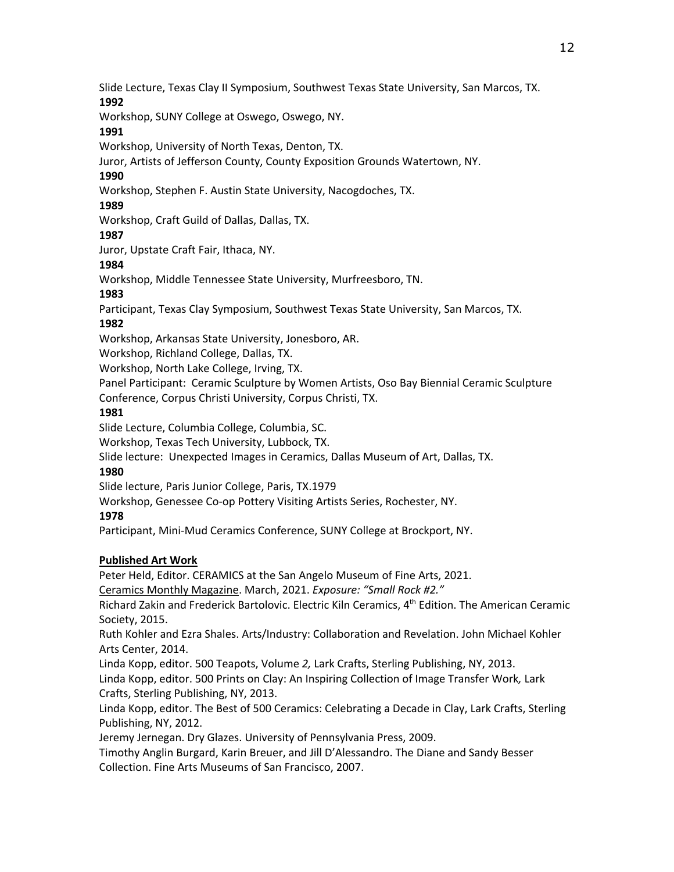Slide Lecture, Texas Clay II Symposium, Southwest Texas State University, San Marcos, TX. **1992**

Workshop, SUNY College at Oswego, Oswego, NY.

### **1991**

Workshop, University of North Texas, Denton, TX.

Juror, Artists of Jefferson County, County Exposition Grounds Watertown, NY.

# **1990**

Workshop, Stephen F. Austin State University, Nacogdoches, TX.

# **1989**

Workshop, Craft Guild of Dallas, Dallas, TX.

# **1987**

Juror, Upstate Craft Fair, Ithaca, NY.

# **1984**

Workshop, Middle Tennessee State University, Murfreesboro, TN.

# **1983**

Participant, Texas Clay Symposium, Southwest Texas State University, San Marcos, TX.

# **1982**

Workshop, Arkansas State University, Jonesboro, AR.

Workshop, Richland College, Dallas, TX.

Workshop, North Lake College, Irving, TX.

Panel Participant: Ceramic Sculpture by Women Artists, Oso Bay Biennial Ceramic Sculpture Conference, Corpus Christi University, Corpus Christi, TX.

# **1981**

Slide Lecture, Columbia College, Columbia, SC.

Workshop, Texas Tech University, Lubbock, TX.

Slide lecture: Unexpected Images in Ceramics, Dallas Museum of Art, Dallas, TX.

# **1980**

Slide lecture, Paris Junior College, Paris, TX.1979

Workshop, Genessee Co-op Pottery Visiting Artists Series, Rochester, NY.

# **1978**

Participant, Mini-Mud Ceramics Conference, SUNY College at Brockport, NY.

# **Published Art Work**

Peter Held, Editor. CERAMICS at the San Angelo Museum of Fine Arts, 2021.

Ceramics Monthly Magazine. March, 2021. *Exposure: "Small Rock #2."*

Richard Zakin and Frederick Bartolovic. Electric Kiln Ceramics, 4th Edition. The American Ceramic Society, 2015.

Ruth Kohler and Ezra Shales. Arts/Industry: Collaboration and Revelation. John Michael Kohler Arts Center, 2014.

Linda Kopp, editor. 500 Teapots, Volume *2,* Lark Crafts, Sterling Publishing, NY, 2013. Linda Kopp, editor. 500 Prints on Clay: An Inspiring Collection of Image Transfer Work*,* Lark Crafts, Sterling Publishing, NY, 2013.

Linda Kopp, editor. The Best of 500 Ceramics: Celebrating a Decade in Clay, Lark Crafts, Sterling Publishing, NY, 2012.

Jeremy Jernegan. Dry Glazes. University of Pennsylvania Press, 2009.

Timothy Anglin Burgard, Karin Breuer, and Jill D'Alessandro. The Diane and Sandy Besser Collection. Fine Arts Museums of San Francisco, 2007.